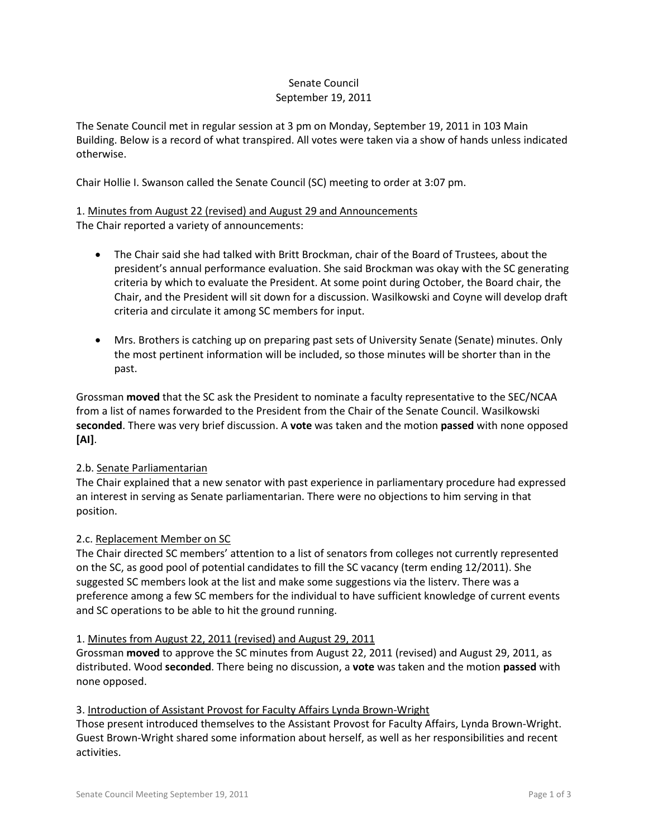## Senate Council September 19, 2011

The Senate Council met in regular session at 3 pm on Monday, September 19, 2011 in 103 Main Building. Below is a record of what transpired. All votes were taken via a show of hands unless indicated otherwise.

Chair Hollie I. Swanson called the Senate Council (SC) meeting to order at 3:07 pm.

# 1. Minutes from August 22 (revised) and August 29 and Announcements The Chair reported a variety of announcements:

- The Chair said she had talked with Britt Brockman, chair of the Board of Trustees, about the president's annual performance evaluation. She said Brockman was okay with the SC generating criteria by which to evaluate the President. At some point during October, the Board chair, the Chair, and the President will sit down for a discussion. Wasilkowski and Coyne will develop draft criteria and circulate it among SC members for input.
- Mrs. Brothers is catching up on preparing past sets of University Senate (Senate) minutes. Only the most pertinent information will be included, so those minutes will be shorter than in the past.

Grossman **moved** that the SC ask the President to nominate a faculty representative to the SEC/NCAA from a list of names forwarded to the President from the Chair of the Senate Council. Wasilkowski **seconded**. There was very brief discussion. A **vote** was taken and the motion **passed** with none opposed **[AI]**.

# 2.b. Senate Parliamentarian

The Chair explained that a new senator with past experience in parliamentary procedure had expressed an interest in serving as Senate parliamentarian. There were no objections to him serving in that position.

#### 2.c. Replacement Member on SC

The Chair directed SC members' attention to a list of senators from colleges not currently represented on the SC, as good pool of potential candidates to fill the SC vacancy (term ending 12/2011). She suggested SC members look at the list and make some suggestions via the listerv. There was a preference among a few SC members for the individual to have sufficient knowledge of current events and SC operations to be able to hit the ground running.

#### 1. Minutes from August 22, 2011 (revised) and August 29, 2011

Grossman **moved** to approve the SC minutes from August 22, 2011 (revised) and August 29, 2011, as distributed. Wood **seconded**. There being no discussion, a **vote** was taken and the motion **passed** with none opposed.

### 3. Introduction of Assistant Provost for Faculty Affairs Lynda Brown-Wright

Those present introduced themselves to the Assistant Provost for Faculty Affairs, Lynda Brown-Wright. Guest Brown-Wright shared some information about herself, as well as her responsibilities and recent activities.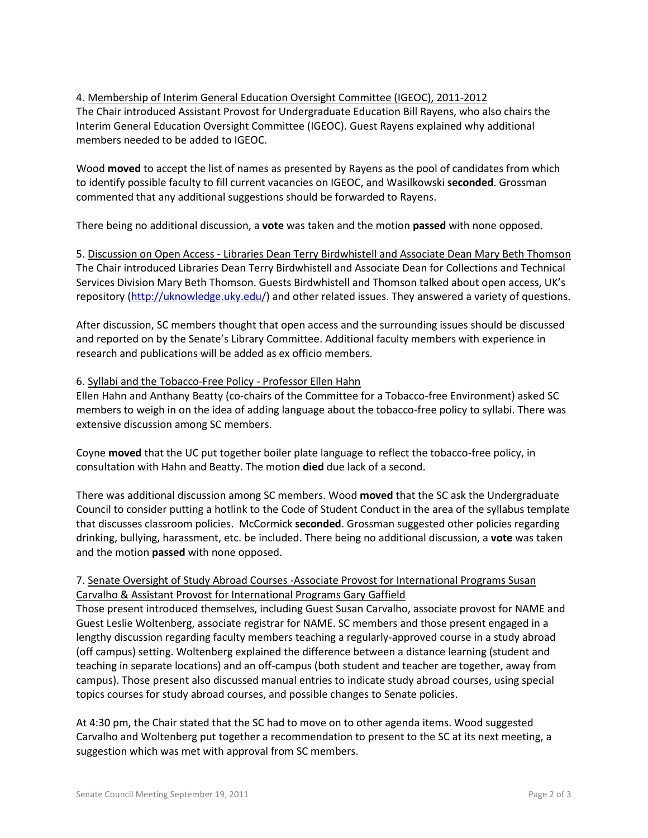## 4. Membership of Interim General Education Oversight Committee (IGEOC), 2011-2012 The Chair introduced Assistant Provost for Undergraduate Education Bill Rayens, who also chairs the Interim General Education Oversight Committee (IGEOC). Guest Rayens explained why additional members needed to be added to IGEOC.

Wood **moved** to accept the list of names as presented by Rayens as the pool of candidates from which to identify possible faculty to fill current vacancies on IGEOC, and Wasilkowski **seconded**. Grossman commented that any additional suggestions should be forwarded to Rayens.

There being no additional discussion, a **vote** was taken and the motion **passed** with none opposed.

5. Discussion on Open Access - Libraries Dean Terry Birdwhistell and Associate Dean Mary Beth Thomson The Chair introduced Libraries Dean Terry Birdwhistell and Associate Dean for Collections and Technical Services Division Mary Beth Thomson. Guests Birdwhistell and Thomson talked about open access, UK's repository [\(http://uknowledge.uky.edu/\)](http://uknowledge.uky.edu/) and other related issues. They answered a variety of questions.

After discussion, SC members thought that open access and the surrounding issues should be discussed and reported on by the Senate's Library Committee. Additional faculty members with experience in research and publications will be added as ex officio members.

## 6. Syllabi and the Tobacco-Free Policy - Professor Ellen Hahn

Ellen Hahn and Anthany Beatty (co-chairs of the Committee for a Tobacco-free Environment) asked SC members to weigh in on the idea of adding language about the tobacco-free policy to syllabi. There was extensive discussion among SC members.

Coyne **moved** that the UC put together boiler plate language to reflect the tobacco-free policy, in consultation with Hahn and Beatty. The motion **died** due lack of a second.

There was additional discussion among SC members. Wood **moved** that the SC ask the Undergraduate Council to consider putting a hotlink to the Code of Student Conduct in the area of the syllabus template that discusses classroom policies. McCormick **seconded**. Grossman suggested other policies regarding drinking, bullying, harassment, etc. be included. There being no additional discussion, a **vote** was taken and the motion **passed** with none opposed.

# 7. Senate Oversight of Study Abroad Courses -Associate Provost for International Programs Susan Carvalho & Assistant Provost for International Programs Gary Gaffield

Those present introduced themselves, including Guest Susan Carvalho, associate provost for NAME and Guest Leslie Woltenberg, associate registrar for NAME. SC members and those present engaged in a lengthy discussion regarding faculty members teaching a regularly-approved course in a study abroad (off campus) setting. Woltenberg explained the difference between a distance learning (student and teaching in separate locations) and an off-campus (both student and teacher are together, away from campus). Those present also discussed manual entries to indicate study abroad courses, using special topics courses for study abroad courses, and possible changes to Senate policies.

At 4:30 pm, the Chair stated that the SC had to move on to other agenda items. Wood suggested Carvalho and Woltenberg put together a recommendation to present to the SC at its next meeting, a suggestion which was met with approval from SC members.